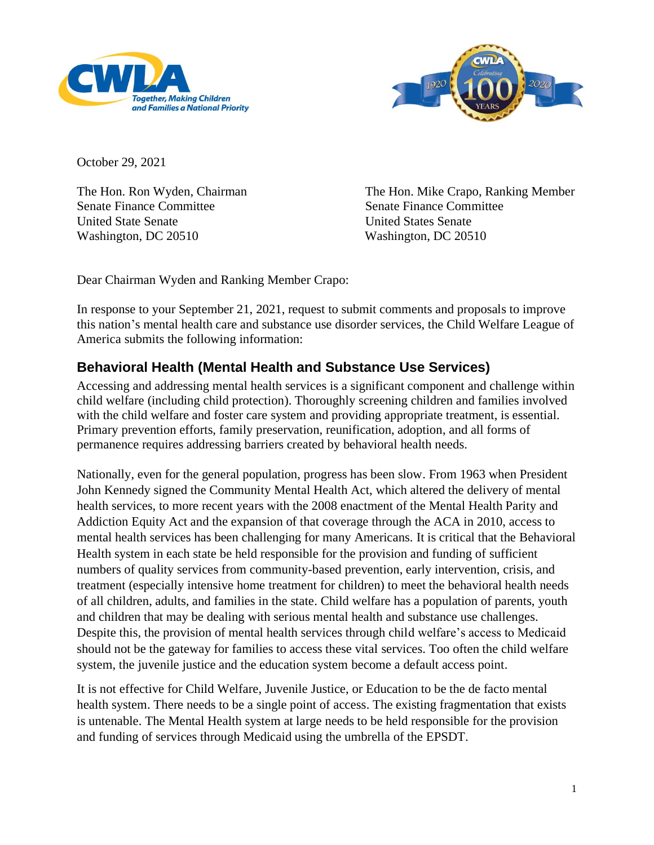



October 29, 2021

Senate Finance Committee Senate Finance Committee United State Senate United States Senate Washington, DC 20510 Washington, DC 20510

The Hon. Ron Wyden, Chairman The Hon. Mike Crapo, Ranking Member

Dear Chairman Wyden and Ranking Member Crapo:

In response to your September 21, 2021, request to submit comments and proposals to improve this nation's mental health care and substance use disorder services, the Child Welfare League of America submits the following information:

# **Behavioral Health (Mental Health and Substance Use Services)**

Accessing and addressing mental health services is a significant component and challenge within child welfare (including child protection). Thoroughly screening children and families involved with the child welfare and foster care system and providing appropriate treatment, is essential. Primary prevention efforts, family preservation, reunification, adoption, and all forms of permanence requires addressing barriers created by behavioral health needs.

Nationally, even for the general population, progress has been slow. From 1963 when President John Kennedy signed the Community Mental Health Act, which altered the delivery of mental health services, to more recent years with the 2008 enactment of the Mental Health Parity and Addiction Equity Act and the expansion of that coverage through the ACA in 2010, access to mental health services has been challenging for many Americans. It is critical that the Behavioral Health system in each state be held responsible for the provision and funding of sufficient numbers of quality services from community-based prevention, early intervention, crisis, and treatment (especially intensive home treatment for children) to meet the behavioral health needs of all children, adults, and families in the state. Child welfare has a population of parents, youth and children that may be dealing with serious mental health and substance use challenges. Despite this, the provision of mental health services through child welfare's access to Medicaid should not be the gateway for families to access these vital services. Too often the child welfare system, the juvenile justice and the education system become a default access point.

It is not effective for Child Welfare, Juvenile Justice, or Education to be the de facto mental health system. There needs to be a single point of access. The existing fragmentation that exists is untenable. The Mental Health system at large needs to be held responsible for the provision and funding of services through Medicaid using the umbrella of the EPSDT.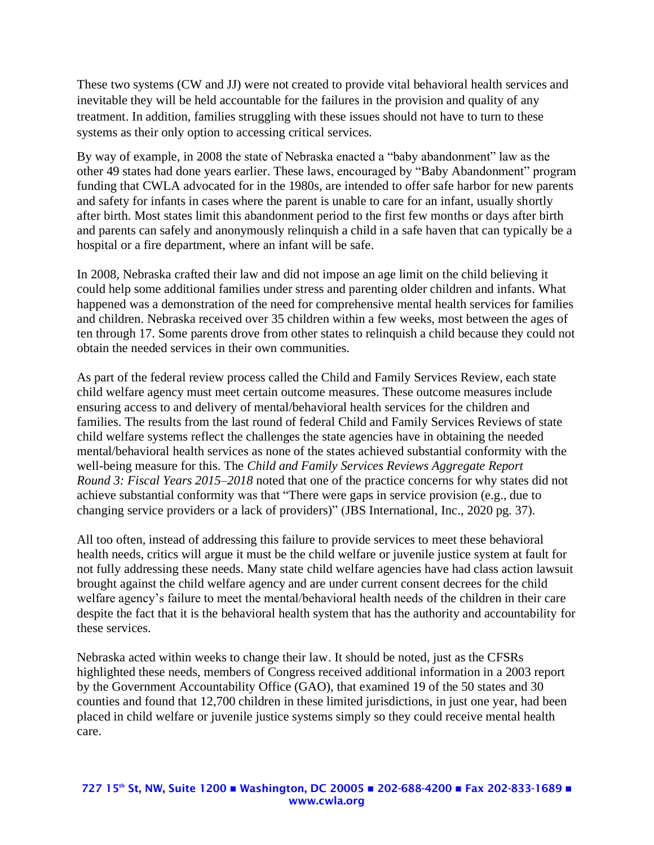These two systems (CW and JJ) were not created to provide vital behavioral health services and inevitable they will be held accountable for the failures in the provision and quality of any treatment. In addition, families struggling with these issues should not have to turn to these systems as their only option to accessing critical services.

By way of example, in 2008 the state of Nebraska enacted a "baby abandonment" law as the other 49 states had done years earlier. These laws, encouraged by "Baby Abandonment" program funding that CWLA advocated for in the 1980s, are intended to offer safe harbor for new parents and safety for infants in cases where the parent is unable to care for an infant, usually shortly after birth. Most states limit this abandonment period to the first few months or days after birth and parents can safely and anonymously relinquish a child in a safe haven that can typically be a hospital or a fire department, where an infant will be safe.

In 2008, Nebraska crafted their law and did not impose an age limit on the child believing it could help some additional families under stress and parenting older children and infants. What happened was a demonstration of the need for comprehensive mental health services for families and children. Nebraska received over 35 children within a few weeks, most between the ages of ten through 17. Some parents drove from other states to relinquish a child because they could not obtain the needed services in their own communities.

As part of the federal review process called the Child and Family Services Review, each state child welfare agency must meet certain outcome measures. These outcome measures include ensuring access to and delivery of mental/behavioral health services for the children and families. The results from the last round of federal Child and Family Services Reviews of state child welfare systems reflect the challenges the state agencies have in obtaining the needed mental/behavioral health services as none of the states achieved substantial conformity with the well-being measure for this. The *Child and Family Services Reviews Aggregate Report Round 3: Fiscal Years 2015–2018* noted that one of the practice concerns for why states did not achieve substantial conformity was that "There were gaps in service provision (e.g., due to changing service providers or a lack of providers)" (JBS International, Inc., 2020 pg. 37).

All too often, instead of addressing this failure to provide services to meet these behavioral health needs, critics will argue it must be the child welfare or juvenile justice system at fault for not fully addressing these needs. Many state child welfare agencies have had class action lawsuit brought against the child welfare agency and are under current consent decrees for the child welfare agency's failure to meet the mental/behavioral health needs of the children in their care despite the fact that it is the behavioral health system that has the authority and accountability for these services.

Nebraska acted within weeks to change their law. It should be noted, just as the CFSRs highlighted these needs, members of Congress received additional information in a 2003 report by the Government Accountability Office (GAO), that examined 19 of the 50 states and 30 counties and found that 12,700 children in these limited jurisdictions, in just one year, had been placed in child welfare or juvenile justice systems simply so they could receive mental health care.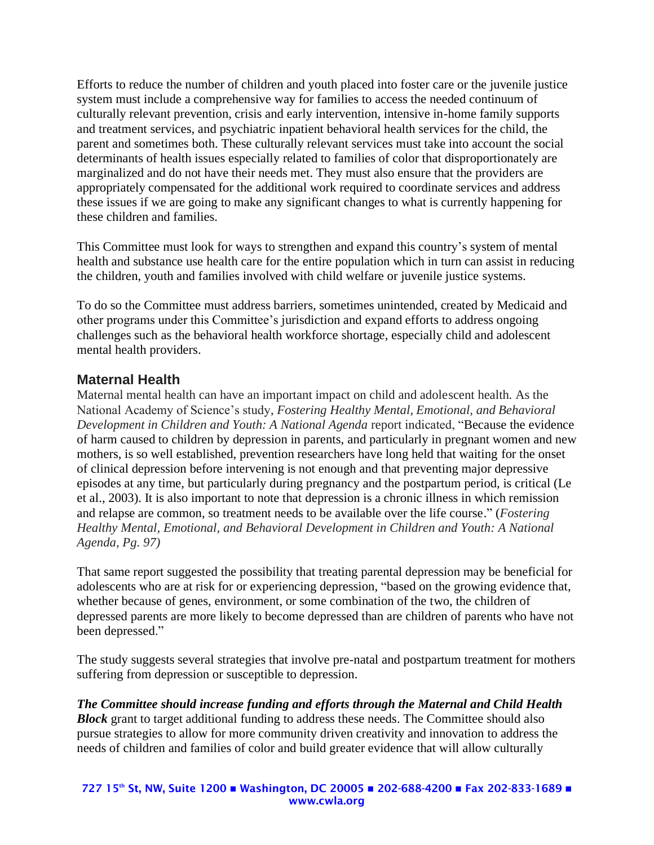Efforts to reduce the number of children and youth placed into foster care or the juvenile justice system must include a comprehensive way for families to access the needed continuum of culturally relevant prevention, crisis and early intervention, intensive in-home family supports and treatment services, and psychiatric inpatient behavioral health services for the child, the parent and sometimes both. These culturally relevant services must take into account the social determinants of health issues especially related to families of color that disproportionately are marginalized and do not have their needs met. They must also ensure that the providers are appropriately compensated for the additional work required to coordinate services and address these issues if we are going to make any significant changes to what is currently happening for these children and families.

This Committee must look for ways to strengthen and expand this country's system of mental health and substance use health care for the entire population which in turn can assist in reducing the children, youth and families involved with child welfare or juvenile justice systems.

To do so the Committee must address barriers, sometimes unintended, created by Medicaid and other programs under this Committee's jurisdiction and expand efforts to address ongoing challenges such as the behavioral health workforce shortage, especially child and adolescent mental health providers.

## **Maternal Health**

Maternal mental health can have an important impact on child and adolescent health. As the National Academy of Science's study, *Fostering Healthy Mental, Emotional, and Behavioral Development in Children and Youth: A National Agenda* report indicated, "Because the evidence of harm caused to children by depression in parents, and particularly in pregnant women and new mothers, is so well established, prevention researchers have long held that waiting for the onset of clinical depression before intervening is not enough and that preventing major depressive episodes at any time, but particularly during pregnancy and the postpartum period, is critical (Le et al., 2003). It is also important to note that depression is a chronic illness in which remission and relapse are common, so treatment needs to be available over the life course." (*Fostering Healthy Mental, Emotional, and Behavioral Development in Children and Youth: A National Agenda, Pg. 97)*

That same report suggested the possibility that treating parental depression may be beneficial for adolescents who are at risk for or experiencing depression, "based on the growing evidence that, whether because of genes, environment, or some combination of the two, the children of depressed parents are more likely to become depressed than are children of parents who have not been depressed."

The study suggests several strategies that involve pre-natal and postpartum treatment for mothers suffering from depression or susceptible to depression.

*The Committee should increase funding and efforts through the Maternal and Child Health Block* grant to target additional funding to address these needs. The Committee should also pursue strategies to allow for more community driven creativity and innovation to address the needs of children and families of color and build greater evidence that will allow culturally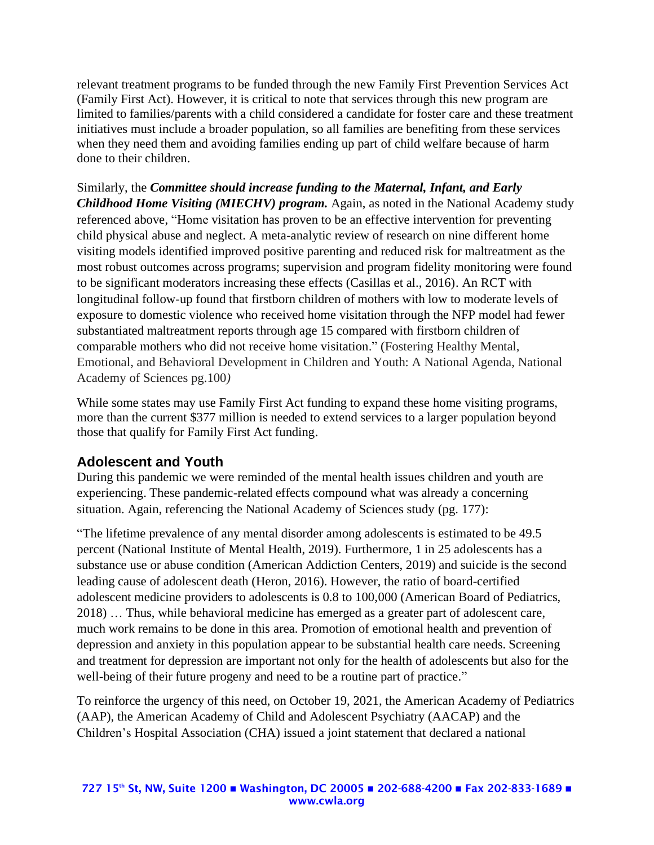relevant treatment programs to be funded through the new Family First Prevention Services Act (Family First Act). However, it is critical to note that services through this new program are limited to families/parents with a child considered a candidate for foster care and these treatment initiatives must include a broader population, so all families are benefiting from these services when they need them and avoiding families ending up part of child welfare because of harm done to their children.

Similarly, the *Committee should increase funding to the Maternal, Infant, and Early Childhood Home Visiting (MIECHV) program.* Again, as noted in the National Academy study referenced above, "Home visitation has proven to be an effective intervention for preventing child physical abuse and neglect. A meta-analytic review of research on nine different home visiting models identified improved positive parenting and reduced risk for maltreatment as the most robust outcomes across programs; supervision and program fidelity monitoring were found to be significant moderators increasing these effects (Casillas et al., 2016). An RCT with longitudinal follow-up found that firstborn children of mothers with low to moderate levels of exposure to domestic violence who received home visitation through the NFP model had fewer substantiated maltreatment reports through age 15 compared with firstborn children of comparable mothers who did not receive home visitation." (Fostering Healthy Mental, Emotional, and Behavioral Development in Children and Youth: A National Agenda, National Academy of Sciences pg.100*)*

While some states may use Family First Act funding to expand these home visiting programs, more than the current \$377 million is needed to extend services to a larger population beyond those that qualify for Family First Act funding.

# **Adolescent and Youth**

During this pandemic we were reminded of the mental health issues children and youth are experiencing. These pandemic-related effects compound what was already a concerning situation. Again, referencing the National Academy of Sciences study (pg. 177):

"The lifetime prevalence of any mental disorder among adolescents is estimated to be 49.5 percent (National Institute of Mental Health, 2019). Furthermore, 1 in 25 adolescents has a substance use or abuse condition (American Addiction Centers, 2019) and suicide is the second leading cause of adolescent death (Heron, 2016). However, the ratio of board-certified adolescent medicine providers to adolescents is 0.8 to 100,000 (American Board of Pediatrics, 2018) … Thus, while behavioral medicine has emerged as a greater part of adolescent care, much work remains to be done in this area. Promotion of emotional health and prevention of depression and anxiety in this population appear to be substantial health care needs. Screening and treatment for depression are important not only for the health of adolescents but also for the well-being of their future progeny and need to be a routine part of practice."

To reinforce the urgency of this need, on October 19, 2021, the American Academy of Pediatrics (AAP), the American Academy of Child and Adolescent Psychiatry (AACAP) and the Children's Hospital Association (CHA) issued a joint statement that declared a national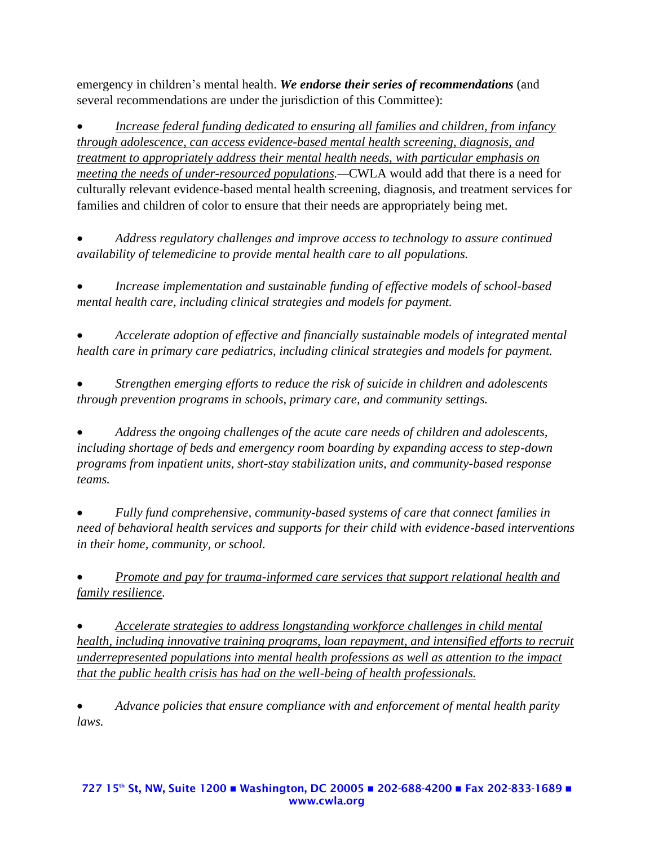emergency in children's mental health. *We endorse their series of recommendations* (and several recommendations are under the jurisdiction of this Committee):

• *Increase federal funding dedicated to ensuring all families and children, from infancy through adolescence, can access evidence-based mental health screening, diagnosis, and treatment to appropriately address their mental health needs, with particular emphasis on meeting the needs of under-resourced populations.—*CWLA would add that there is a need for culturally relevant evidence-based mental health screening, diagnosis, and treatment services for families and children of color to ensure that their needs are appropriately being met.

• *Address regulatory challenges and improve access to technology to assure continued availability of telemedicine to provide mental health care to all populations.*

• *Increase implementation and sustainable funding of effective models of school-based mental health care, including clinical strategies and models for payment.*

• *Accelerate adoption of effective and financially sustainable models of integrated mental health care in primary care pediatrics, including clinical strategies and models for payment.*

• *Strengthen emerging efforts to reduce the risk of suicide in children and adolescents through prevention programs in schools, primary care, and community settings.*

• *Address the ongoing challenges of the acute care needs of children and adolescents, including shortage of beds and emergency room boarding by expanding access to step-down programs from inpatient units, short-stay stabilization units, and community-based response teams.*

• *Fully fund comprehensive, community-based systems of care that connect families in need of behavioral health services and supports for their child with evidence-based interventions in their home, community, or school.*

• *Promote and pay for trauma-informed care services that support relational health and family resilience.*

• *Accelerate strategies to address longstanding workforce challenges in child mental health, including innovative training programs, loan repayment, and intensified efforts to recruit underrepresented populations into mental health professions as well as attention to the impact that the public health crisis has had on the well-being of health professionals.*

• *Advance policies that ensure compliance with and enforcement of mental health parity laws.*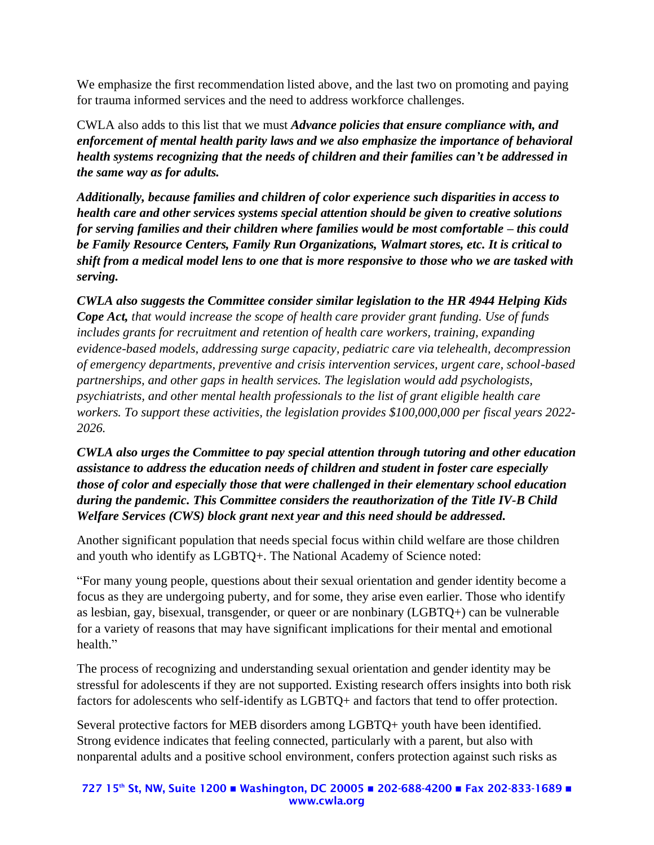We emphasize the first recommendation listed above, and the last two on promoting and paying for trauma informed services and the need to address workforce challenges.

CWLA also adds to this list that we must *Advance policies that ensure compliance with, and enforcement of mental health parity laws and we also emphasize the importance of behavioral health systems recognizing that the needs of children and their families can't be addressed in the same way as for adults.* 

*Additionally, because families and children of color experience such disparities in access to health care and other services systems special attention should be given to creative solutions for serving families and their children where families would be most comfortable – this could be Family Resource Centers, Family Run Organizations, Walmart stores, etc. It is critical to shift from a medical model lens to one that is more responsive to those who we are tasked with serving.* 

*CWLA also suggests the Committee consider similar legislation to the HR 4944 Helping Kids Cope Act, that would increase the scope of health care provider grant funding. Use of funds includes grants for recruitment and retention of health care workers, training, expanding evidence-based models, addressing surge capacity, pediatric care via telehealth, decompression of emergency departments, preventive and crisis intervention services, urgent care, school-based partnerships, and other gaps in health services. The legislation would add psychologists, psychiatrists, and other mental health professionals to the list of grant eligible health care workers. To support these activities, the legislation provides \$100,000,000 per fiscal years 2022- 2026.*

*CWLA also urges the Committee to pay special attention through tutoring and other education assistance to address the education needs of children and student in foster care especially those of color and especially those that were challenged in their elementary school education during the pandemic. This Committee considers the reauthorization of the Title IV-B Child Welfare Services (CWS) block grant next year and this need should be addressed.*

Another significant population that needs special focus within child welfare are those children and youth who identify as LGBTQ+. The National Academy of Science noted:

"For many young people, questions about their sexual orientation and gender identity become a focus as they are undergoing puberty, and for some, they arise even earlier. Those who identify as lesbian, gay, bisexual, transgender, or queer or are nonbinary (LGBTQ+) can be vulnerable for a variety of reasons that may have significant implications for their mental and emotional health."

The process of recognizing and understanding sexual orientation and gender identity may be stressful for adolescents if they are not supported. Existing research offers insights into both risk factors for adolescents who self-identify as LGBTQ+ and factors that tend to offer protection.

Several protective factors for MEB disorders among LGBTQ+ youth have been identified. Strong evidence indicates that feeling connected, particularly with a parent, but also with nonparental adults and a positive school environment, confers protection against such risks as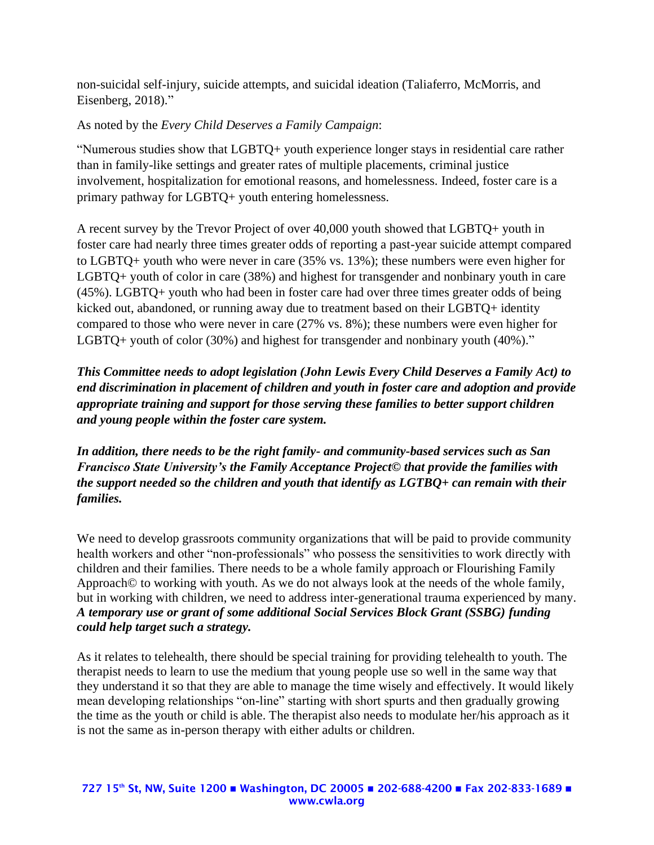non-suicidal self-injury, suicide attempts, and suicidal ideation (Taliaferro, McMorris, and Eisenberg, 2018)."

As noted by the *Every Child Deserves a Family Campaign*:

"Numerous studies show that LGBTQ+ youth experience longer stays in residential care rather than in family-like settings and greater rates of multiple placements, criminal justice involvement, hospitalization for emotional reasons, and homelessness. Indeed, foster care is a primary pathway for LGBTQ+ youth entering homelessness.

A recent survey by the Trevor Project of over 40,000 youth showed that LGBTQ+ youth in foster care had nearly three times greater odds of reporting a past-year suicide attempt compared to LGBTQ+ youth who were never in care (35% vs. 13%); these numbers were even higher for LGBTQ+ youth of color in care (38%) and highest for transgender and nonbinary youth in care (45%). LGBTQ+ youth who had been in foster care had over three times greater odds of being kicked out, abandoned, or running away due to treatment based on their LGBTQ+ identity compared to those who were never in care (27% vs. 8%); these numbers were even higher for LGBTQ+ youth of color (30%) and highest for transgender and nonbinary youth (40%)."

*This Committee needs to adopt legislation (John Lewis Every Child Deserves a Family Act) to end discrimination in placement of children and youth in foster care and adoption and provide appropriate training and support for those serving these families to better support children and young people within the foster care system.* 

*In addition, there needs to be the right family- and community-based services such as San Francisco State University's the Family Acceptance Project© that provide the families with the support needed so the children and youth that identify as LGTBQ+ can remain with their families.* 

We need to develop grassroots community organizations that will be paid to provide community health workers and other "non-professionals" who possess the sensitivities to work directly with children and their families. There needs to be a whole family approach or Flourishing Family Approach© to working with youth. As we do not always look at the needs of the whole family, but in working with children, we need to address inter-generational trauma experienced by many. *A temporary use or grant of some additional Social Services Block Grant (SSBG) funding could help target such a strategy.*

As it relates to telehealth, there should be special training for providing telehealth to youth. The therapist needs to learn to use the medium that young people use so well in the same way that they understand it so that they are able to manage the time wisely and effectively. It would likely mean developing relationships "on-line" starting with short spurts and then gradually growing the time as the youth or child is able. The therapist also needs to modulate her/his approach as it is not the same as in-person therapy with either adults or children.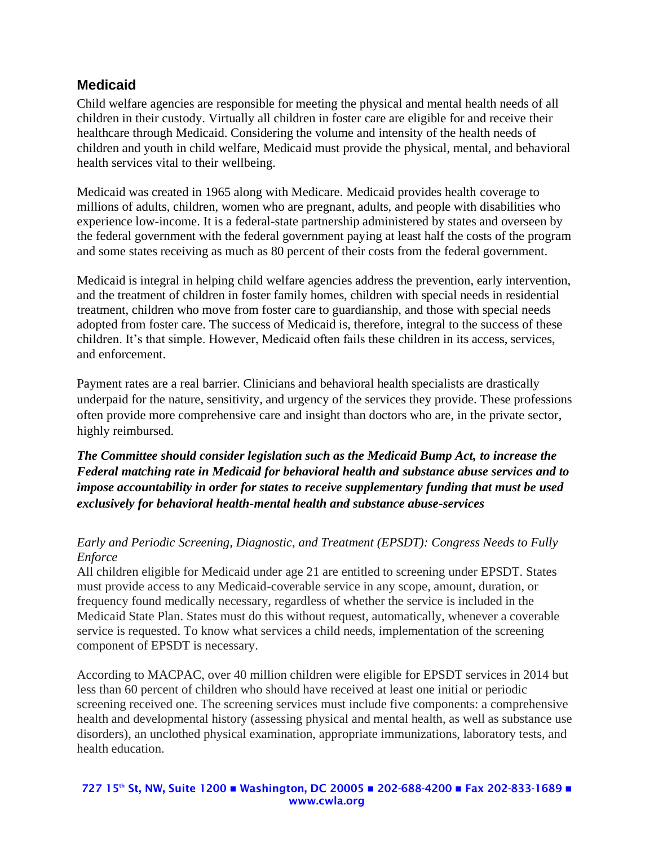# **Medicaid**

Child welfare agencies are responsible for meeting the physical and mental health needs of all children in their custody. Virtually all children in foster care are eligible for and receive their healthcare through Medicaid. Considering the volume and intensity of the health needs of children and youth in child welfare, Medicaid must provide the physical, mental, and behavioral health services vital to their wellbeing.

Medicaid was created in 1965 along with Medicare. Medicaid provides health coverage to millions of adults, children, women who are pregnant, adults, and people with disabilities who experience low-income. It is a federal-state partnership administered by states and overseen by the federal government with the federal government paying at least half the costs of the program and some states receiving as much as 80 percent of their costs from the federal government.

Medicaid is integral in helping child welfare agencies address the prevention, early intervention, and the treatment of children in foster family homes, children with special needs in residential treatment, children who move from foster care to guardianship, and those with special needs adopted from foster care. The success of Medicaid is, therefore, integral to the success of these children. It's that simple. However, Medicaid often fails these children in its access, services, and enforcement.

Payment rates are a real barrier. Clinicians and behavioral health specialists are drastically underpaid for the nature, sensitivity, and urgency of the services they provide. These professions often provide more comprehensive care and insight than doctors who are, in the private sector, highly reimbursed.

*The Committee should consider legislation such as the Medicaid Bump Act, to increase the Federal matching rate in Medicaid for behavioral health and substance abuse services and to impose accountability in order for states to receive supplementary funding that must be used exclusively for behavioral health-mental health and substance abuse-services* 

### *Early and Periodic Screening, Diagnostic, and Treatment (EPSDT): Congress Needs to Fully Enforce*

All children eligible for Medicaid under age 21 are entitled to screening under EPSDT. States must provide access to any Medicaid-coverable service in any scope, amount, duration, or frequency found medically necessary, regardless of whether the service is included in the Medicaid State Plan. States must do this without request, automatically, whenever a coverable service is requested. To know what services a child needs, implementation of the screening component of EPSDT is necessary.

According to MACPAC, over 40 million children were eligible for EPSDT services in 2014 but less than 60 percent of children who should have received at least one initial or periodic screening received one. The screening services must include five components: a comprehensive health and developmental history (assessing physical and mental health, as well as substance use disorders), an unclothed physical examination, appropriate immunizations, laboratory tests, and health education.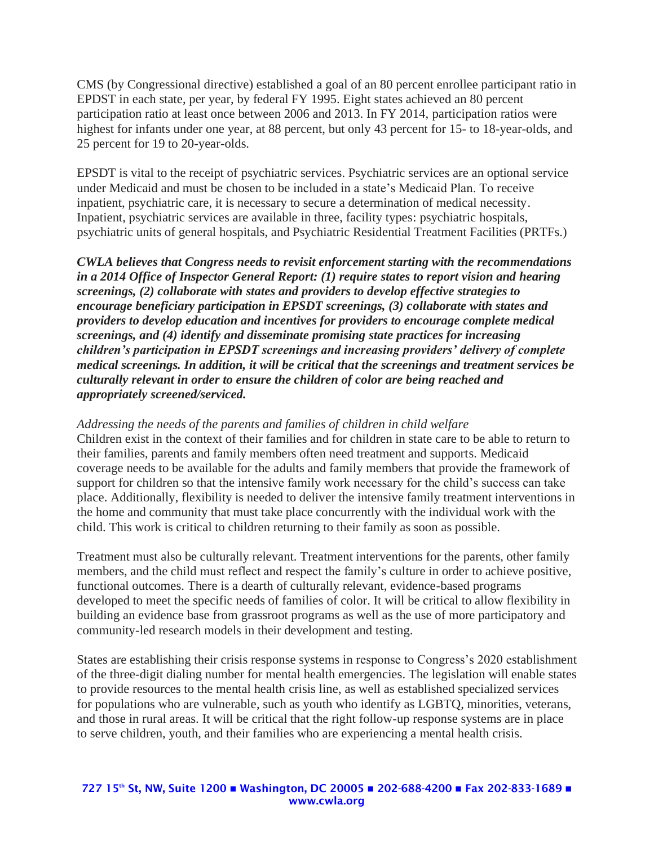CMS (by Congressional directive) established a goal of an 80 percent enrollee participant ratio in EPDST in each state, per year, by federal FY 1995. Eight states achieved an 80 percent participation ratio at least once between 2006 and 2013. In FY 2014, participation ratios were highest for infants under one year, at 88 percent, but only 43 percent for 15- to 18-year-olds, and 25 percent for 19 to 20-year-olds.

EPSDT is vital to the receipt of psychiatric services. Psychiatric services are an optional service under Medicaid and must be chosen to be included in a state's Medicaid Plan. To receive inpatient, psychiatric care, it is necessary to secure a determination of medical necessity. Inpatient, psychiatric services are available in three, facility types: psychiatric hospitals, psychiatric units of general hospitals, and Psychiatric Residential Treatment Facilities (PRTFs.)

*CWLA believes that Congress needs to revisit enforcement starting with the recommendations in a 2014 Office of Inspector General Report: (1) require states to report vision and hearing screenings, (2) collaborate with states and providers to develop effective strategies to encourage beneficiary participation in EPSDT screenings, (3) collaborate with states and providers to develop education and incentives for providers to encourage complete medical screenings, and (4) identify and disseminate promising state practices for increasing children's participation in EPSDT screenings and increasing providers' delivery of complete medical screenings. In addition, it will be critical that the screenings and treatment services be culturally relevant in order to ensure the children of color are being reached and appropriately screened/serviced.*

*Addressing the needs of the parents and families of children in child welfare* Children exist in the context of their families and for children in state care to be able to return to their families, parents and family members often need treatment and supports. Medicaid coverage needs to be available for the adults and family members that provide the framework of support for children so that the intensive family work necessary for the child's success can take place. Additionally, flexibility is needed to deliver the intensive family treatment interventions in the home and community that must take place concurrently with the individual work with the child. This work is critical to children returning to their family as soon as possible.

Treatment must also be culturally relevant. Treatment interventions for the parents, other family members, and the child must reflect and respect the family's culture in order to achieve positive, functional outcomes. There is a dearth of culturally relevant, evidence-based programs developed to meet the specific needs of families of color. It will be critical to allow flexibility in building an evidence base from grassroot programs as well as the use of more participatory and community-led research models in their development and testing.

States are establishing their crisis response systems in response to Congress's 2020 establishment of the three-digit dialing number for mental health emergencies. The legislation will enable states to provide resources to the mental health crisis line, as well as established specialized services for populations who are vulnerable, such as youth who identify as LGBTQ, minorities, veterans, and those in rural areas. It will be critical that the right follow-up response systems are in place to serve children, youth, and their families who are experiencing a mental health crisis.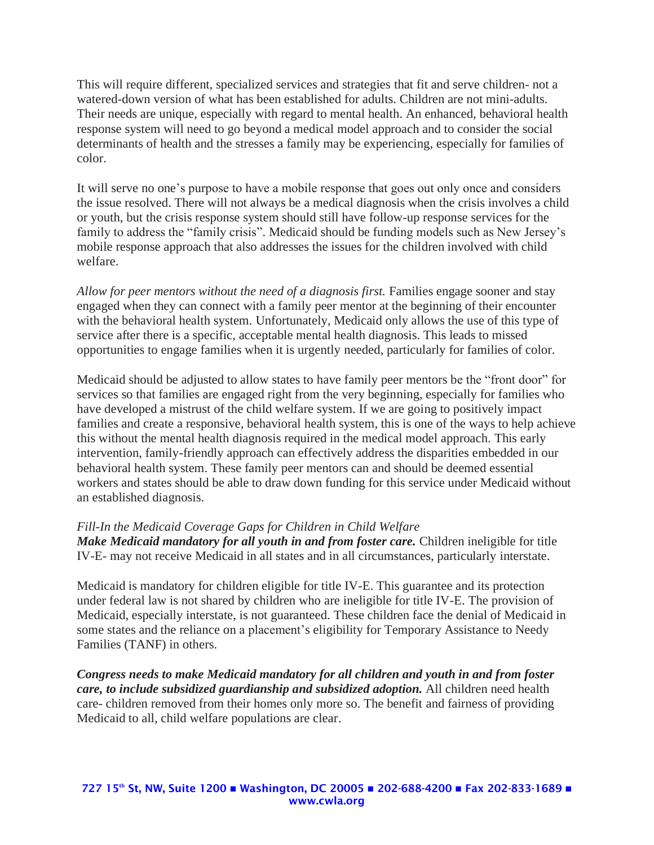This will require different, specialized services and strategies that fit and serve children- not a watered-down version of what has been established for adults. Children are not mini-adults. Their needs are unique, especially with regard to mental health. An enhanced, behavioral health response system will need to go beyond a medical model approach and to consider the social determinants of health and the stresses a family may be experiencing, especially for families of color.

It will serve no one's purpose to have a mobile response that goes out only once and considers the issue resolved. There will not always be a medical diagnosis when the crisis involves a child or youth, but the crisis response system should still have follow-up response services for the family to address the "family crisis". Medicaid should be funding models such as New Jersey's mobile response approach that also addresses the issues for the children involved with child welfare.

*Allow for peer mentors without the need of a diagnosis first.* Families engage sooner and stay engaged when they can connect with a family peer mentor at the beginning of their encounter with the behavioral health system. Unfortunately, Medicaid only allows the use of this type of service after there is a specific, acceptable mental health diagnosis. This leads to missed opportunities to engage families when it is urgently needed, particularly for families of color.

Medicaid should be adjusted to allow states to have family peer mentors be the "front door" for services so that families are engaged right from the very beginning, especially for families who have developed a mistrust of the child welfare system. If we are going to positively impact families and create a responsive, behavioral health system, this is one of the ways to help achieve this without the mental health diagnosis required in the medical model approach. This early intervention, family-friendly approach can effectively address the disparities embedded in our behavioral health system. These family peer mentors can and should be deemed essential workers and states should be able to draw down funding for this service under Medicaid without an established diagnosis.

### *Fill-In the Medicaid Coverage Gaps for Children in Child Welfare*

*Make Medicaid mandatory for all youth in and from foster care.* Children ineligible for title IV-E- may not receive Medicaid in all states and in all circumstances, particularly interstate.

Medicaid is mandatory for children eligible for title IV-E. This guarantee and its protection under federal law is not shared by children who are ineligible for title IV-E. The provision of Medicaid, especially interstate, is not guaranteed. These children face the denial of Medicaid in some states and the reliance on a placement's eligibility for Temporary Assistance to Needy Families (TANF) in others.

*Congress needs to make Medicaid mandatory for all children and youth in and from foster care, to include subsidized guardianship and subsidized adoption.* All children need health care- children removed from their homes only more so. The benefit and fairness of providing Medicaid to all, child welfare populations are clear.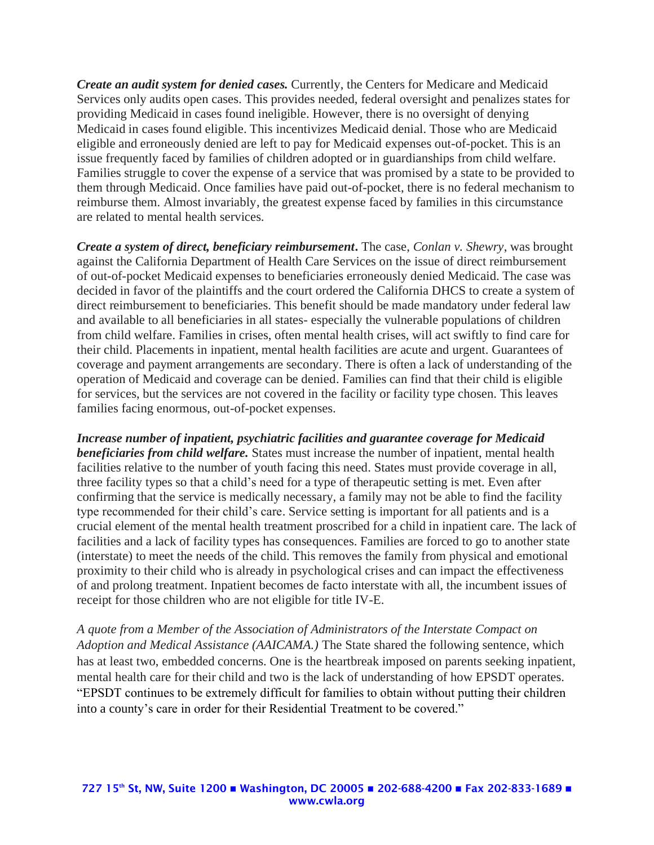*Create an audit system for denied cases.* Currently, the Centers for Medicare and Medicaid Services only audits open cases. This provides needed, federal oversight and penalizes states for providing Medicaid in cases found ineligible. However, there is no oversight of denying Medicaid in cases found eligible. This incentivizes Medicaid denial. Those who are Medicaid eligible and erroneously denied are left to pay for Medicaid expenses out-of-pocket. This is an issue frequently faced by families of children adopted or in guardianships from child welfare. Families struggle to cover the expense of a service that was promised by a state to be provided to them through Medicaid. Once families have paid out-of-pocket, there is no federal mechanism to reimburse them. Almost invariably, the greatest expense faced by families in this circumstance are related to mental health services.

*Create a system of direct, beneficiary reimbursement***.** The case, *Conlan v. Shewry*, was brought against the California Department of Health Care Services on the issue of direct reimbursement of out-of-pocket Medicaid expenses to beneficiaries erroneously denied Medicaid. The case was decided in favor of the plaintiffs and the court ordered the California DHCS to create a system of direct reimbursement to beneficiaries. This benefit should be made mandatory under federal law and available to all beneficiaries in all states- especially the vulnerable populations of children from child welfare. Families in crises, often mental health crises, will act swiftly to find care for their child. Placements in inpatient, mental health facilities are acute and urgent. Guarantees of coverage and payment arrangements are secondary. There is often a lack of understanding of the operation of Medicaid and coverage can be denied. Families can find that their child is eligible for services, but the services are not covered in the facility or facility type chosen. This leaves families facing enormous, out-of-pocket expenses.

*Increase number of inpatient, psychiatric facilities and guarantee coverage for Medicaid beneficiaries from child welfare.* States must increase the number of inpatient, mental health facilities relative to the number of youth facing this need. States must provide coverage in all, three facility types so that a child's need for a type of therapeutic setting is met. Even after confirming that the service is medically necessary, a family may not be able to find the facility type recommended for their child's care. Service setting is important for all patients and is a crucial element of the mental health treatment proscribed for a child in inpatient care. The lack of facilities and a lack of facility types has consequences. Families are forced to go to another state (interstate) to meet the needs of the child. This removes the family from physical and emotional proximity to their child who is already in psychological crises and can impact the effectiveness of and prolong treatment. Inpatient becomes de facto interstate with all, the incumbent issues of receipt for those children who are not eligible for title IV-E.

*A quote from a Member of the Association of Administrators of the Interstate Compact on Adoption and Medical Assistance (AAICAMA.)* The State shared the following sentence, which has at least two, embedded concerns. One is the heartbreak imposed on parents seeking inpatient, mental health care for their child and two is the lack of understanding of how EPSDT operates. "EPSDT continues to be extremely difficult for families to obtain without putting their children into a county's care in order for their Residential Treatment to be covered."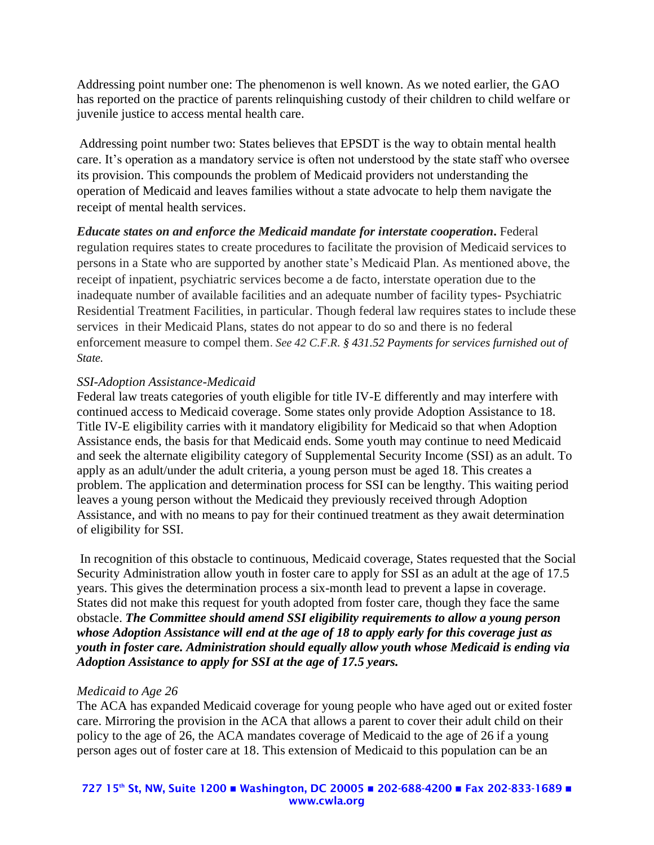Addressing point number one: The phenomenon is well known. As we noted earlier, the GAO has reported on the practice of parents relinquishing custody of their children to child welfare or juvenile justice to access mental health care.

Addressing point number two: States believes that EPSDT is the way to obtain mental health care. It's operation as a mandatory service is often not understood by the state staff who oversee its provision. This compounds the problem of Medicaid providers not understanding the operation of Medicaid and leaves families without a state advocate to help them navigate the receipt of mental health services.

*Educate states on and enforce the Medicaid mandate for interstate cooperation***.** Federal regulation requires states to create procedures to facilitate the provision of Medicaid services to persons in a State who are supported by another state's Medicaid Plan. As mentioned above, the receipt of inpatient, psychiatric services become a de facto, interstate operation due to the inadequate number of available facilities and an adequate number of facility types- Psychiatric Residential Treatment Facilities, in particular. Though federal law requires states to include these services in their Medicaid Plans, states do not appear to do so and there is no federal enforcement measure to compel them. *See 42 C.F.R. § 431.52 Payments for services furnished out of State.*

#### *SSI-Adoption Assistance-Medicaid*

Federal law treats categories of youth eligible for title IV-E differently and may interfere with continued access to Medicaid coverage. Some states only provide Adoption Assistance to 18. Title IV-E eligibility carries with it mandatory eligibility for Medicaid so that when Adoption Assistance ends, the basis for that Medicaid ends. Some youth may continue to need Medicaid and seek the alternate eligibility category of Supplemental Security Income (SSI) as an adult. To apply as an adult/under the adult criteria, a young person must be aged 18. This creates a problem. The application and determination process for SSI can be lengthy. This waiting period leaves a young person without the Medicaid they previously received through Adoption Assistance, and with no means to pay for their continued treatment as they await determination of eligibility for SSI.

In recognition of this obstacle to continuous, Medicaid coverage, States requested that the Social Security Administration allow youth in foster care to apply for SSI as an adult at the age of 17.5 years. This gives the determination process a six-month lead to prevent a lapse in coverage. States did not make this request for youth adopted from foster care, though they face the same obstacle. *The Committee should amend SSI eligibility requirements to allow a young person whose Adoption Assistance will end at the age of 18 to apply early for this coverage just as youth in foster care. Administration should equally allow youth whose Medicaid is ending via Adoption Assistance to apply for SSI at the age of 17.5 years.*

#### *Medicaid to Age 26*

The ACA has expanded Medicaid coverage for young people who have aged out or exited foster care. Mirroring the provision in the ACA that allows a parent to cover their adult child on their policy to the age of 26, the ACA mandates coverage of Medicaid to the age of 26 if a young person ages out of foster care at 18. This extension of Medicaid to this population can be an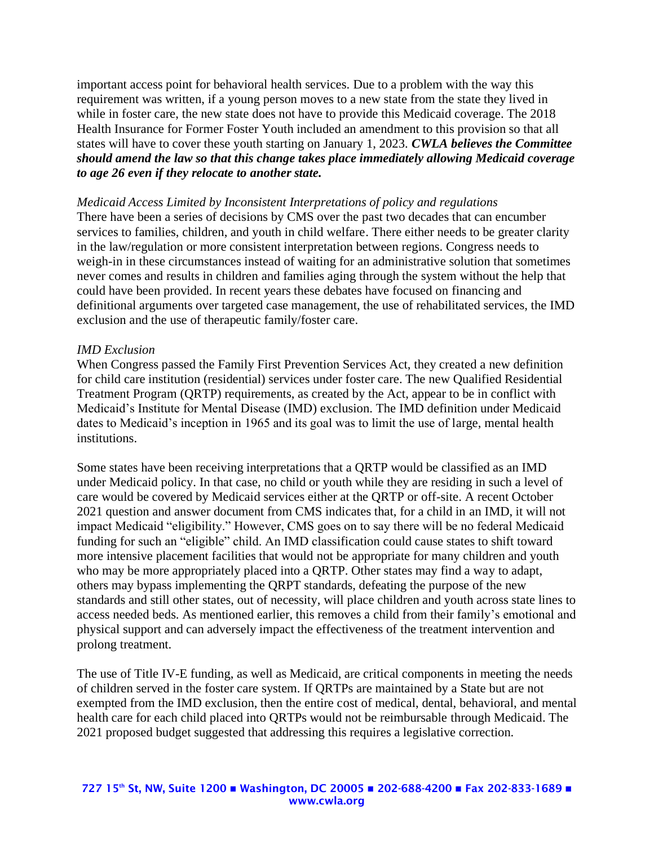important access point for behavioral health services. Due to a problem with the way this requirement was written, if a young person moves to a new state from the state they lived in while in foster care, the new state does not have to provide this Medicaid coverage. The 2018 Health Insurance for Former Foster Youth included an amendment to this provision so that all states will have to cover these youth starting on January 1, 2023. *CWLA believes the Committee should amend the law so that this change takes place immediately allowing Medicaid coverage to age 26 even if they relocate to another state.* 

#### *Medicaid Access Limited by Inconsistent Interpretations of policy and regulations*

There have been a series of decisions by CMS over the past two decades that can encumber services to families, children, and youth in child welfare. There either needs to be greater clarity in the law/regulation or more consistent interpretation between regions. Congress needs to weigh-in in these circumstances instead of waiting for an administrative solution that sometimes never comes and results in children and families aging through the system without the help that could have been provided. In recent years these debates have focused on financing and definitional arguments over targeted case management, the use of rehabilitated services, the IMD exclusion and the use of therapeutic family/foster care.

#### *IMD Exclusion*

When Congress passed the Family First Prevention Services Act, they created a new definition for child care institution (residential) services under foster care. The new Qualified Residential Treatment Program (QRTP) requirements, as created by the Act, appear to be in conflict with Medicaid's Institute for Mental Disease (IMD) exclusion. The IMD definition under Medicaid dates to Medicaid's inception in 1965 and its goal was to limit the use of large, mental health institutions.

Some states have been receiving interpretations that a QRTP would be classified as an IMD under Medicaid policy. In that case, no child or youth while they are residing in such a level of care would be covered by Medicaid services either at the QRTP or off-site. A recent October 2021 question and answer document from CMS indicates that, for a child in an IMD, it will not impact Medicaid "eligibility." However, CMS goes on to say there will be no federal Medicaid funding for such an "eligible" child. An IMD classification could cause states to shift toward more intensive placement facilities that would not be appropriate for many children and youth who may be more appropriately placed into a QRTP. Other states may find a way to adapt, others may bypass implementing the QRPT standards, defeating the purpose of the new standards and still other states, out of necessity, will place children and youth across state lines to access needed beds. As mentioned earlier, this removes a child from their family's emotional and physical support and can adversely impact the effectiveness of the treatment intervention and prolong treatment.

The use of Title IV-E funding, as well as Medicaid, are critical components in meeting the needs of children served in the foster care system. If QRTPs are maintained by a State but are not exempted from the IMD exclusion, then the entire cost of medical, dental, behavioral, and mental health care for each child placed into QRTPs would not be reimbursable through Medicaid. The 2021 proposed budget suggested that addressing this requires a legislative correction.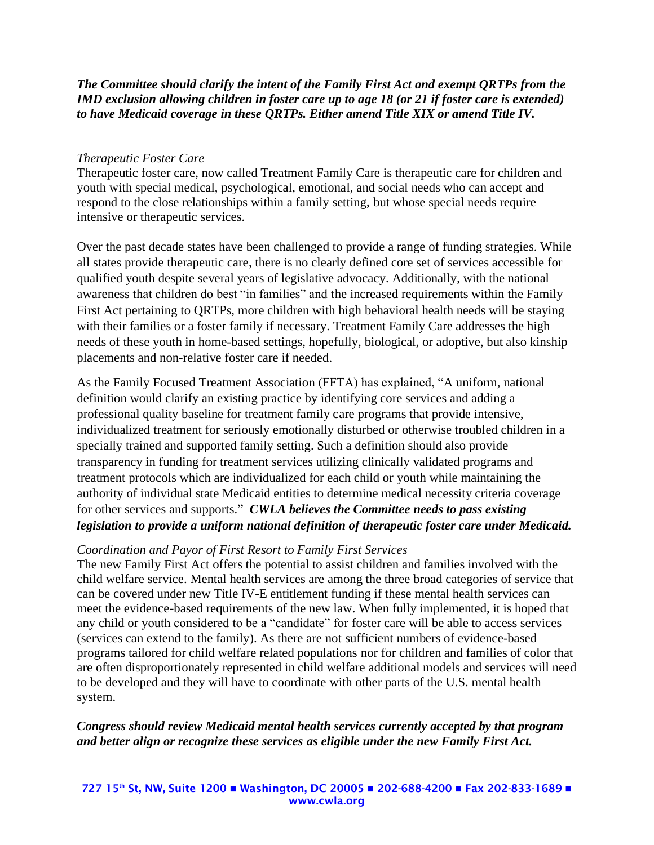### *The Committee should clarify the intent of the Family First Act and exempt QRTPs from the IMD exclusion allowing children in foster care up to age 18 (or 21 if foster care is extended) to have Medicaid coverage in these QRTPs. Either amend Title XIX or amend Title IV.*

#### *Therapeutic Foster Care*

Therapeutic foster care, now called Treatment Family Care is therapeutic care for children and youth with special medical, psychological, emotional, and social needs who can accept and respond to the close relationships within a family setting, but whose special needs require intensive or therapeutic services.

Over the past decade states have been challenged to provide a range of funding strategies. While all states provide therapeutic care, there is no clearly defined core set of services accessible for qualified youth despite several years of legislative advocacy. Additionally, with the national awareness that children do best "in families" and the increased requirements within the Family First Act pertaining to QRTPs, more children with high behavioral health needs will be staying with their families or a foster family if necessary. Treatment Family Care addresses the high needs of these youth in home-based settings, hopefully, biological, or adoptive, but also kinship placements and non-relative foster care if needed.

As the Family Focused Treatment Association (FFTA) has explained, "A uniform, national definition would clarify an existing practice by identifying core services and adding a professional quality baseline for treatment family care programs that provide intensive, individualized treatment for seriously emotionally disturbed or otherwise troubled children in a specially trained and supported family setting. Such a definition should also provide transparency in funding for treatment services utilizing clinically validated programs and treatment protocols which are individualized for each child or youth while maintaining the authority of individual state Medicaid entities to determine medical necessity criteria coverage for other services and supports." *CWLA believes the Committee needs to pass existing legislation to provide a uniform national definition of therapeutic foster care under Medicaid.*

#### *Coordination and Payor of First Resort to Family First Services*

The new Family First Act offers the potential to assist children and families involved with the child welfare service. Mental health services are among the three broad categories of service that can be covered under new Title IV-E entitlement funding if these mental health services can meet the evidence-based requirements of the new law. When fully implemented, it is hoped that any child or youth considered to be a "candidate" for foster care will be able to access services (services can extend to the family). As there are not sufficient numbers of evidence-based programs tailored for child welfare related populations nor for children and families of color that are often disproportionately represented in child welfare additional models and services will need to be developed and they will have to coordinate with other parts of the U.S. mental health system.

*Congress should review Medicaid mental health services currently accepted by that program and better align or recognize these services as eligible under the new Family First Act.*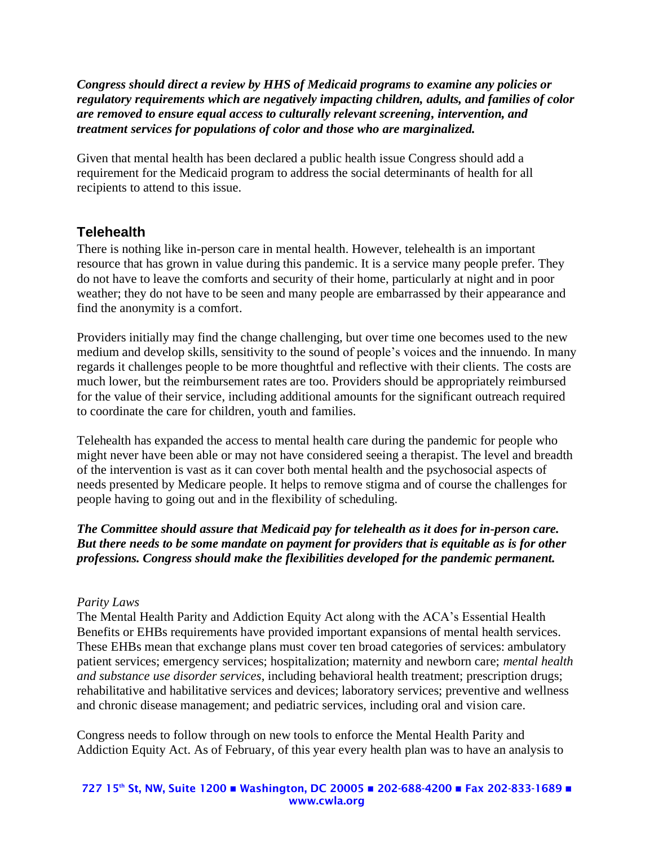*Congress should direct a review by HHS of Medicaid programs to examine any policies or regulatory requirements which are negatively impacting children, adults, and families of color are removed to ensure equal access to culturally relevant screening, intervention, and treatment services for populations of color and those who are marginalized.* 

Given that mental health has been declared a public health issue Congress should add a requirement for the Medicaid program to address the social determinants of health for all recipients to attend to this issue.

# **Telehealth**

There is nothing like in-person care in mental health. However, telehealth is an important resource that has grown in value during this pandemic. It is a service many people prefer. They do not have to leave the comforts and security of their home, particularly at night and in poor weather; they do not have to be seen and many people are embarrassed by their appearance and find the anonymity is a comfort.

Providers initially may find the change challenging, but over time one becomes used to the new medium and develop skills, sensitivity to the sound of people's voices and the innuendo. In many regards it challenges people to be more thoughtful and reflective with their clients. The costs are much lower, but the reimbursement rates are too. Providers should be appropriately reimbursed for the value of their service, including additional amounts for the significant outreach required to coordinate the care for children, youth and families.

Telehealth has expanded the access to mental health care during the pandemic for people who might never have been able or may not have considered seeing a therapist. The level and breadth of the intervention is vast as it can cover both mental health and the psychosocial aspects of needs presented by Medicare people. It helps to remove stigma and of course the challenges for people having to going out and in the flexibility of scheduling.

## *The Committee should assure that Medicaid pay for telehealth as it does for in-person care. But there needs to be some mandate on payment for providers that is equitable as is for other professions. Congress should make the flexibilities developed for the pandemic permanent.*

### *Parity Laws*

The Mental Health Parity and Addiction Equity Act along with the ACA's Essential Health Benefits or EHBs requirements have provided important expansions of mental health services. These EHBs mean that exchange plans must cover ten broad categories of services: ambulatory patient services; emergency services; hospitalization; maternity and newborn care; *mental health and substance use disorder services*, including behavioral health treatment; prescription drugs; rehabilitative and habilitative services and devices; laboratory services; preventive and wellness and chronic disease management; and pediatric services, including oral and vision care.

Congress needs to follow through on new tools to enforce the Mental Health Parity and Addiction Equity Act. As of February, of this year every health plan was to have an analysis to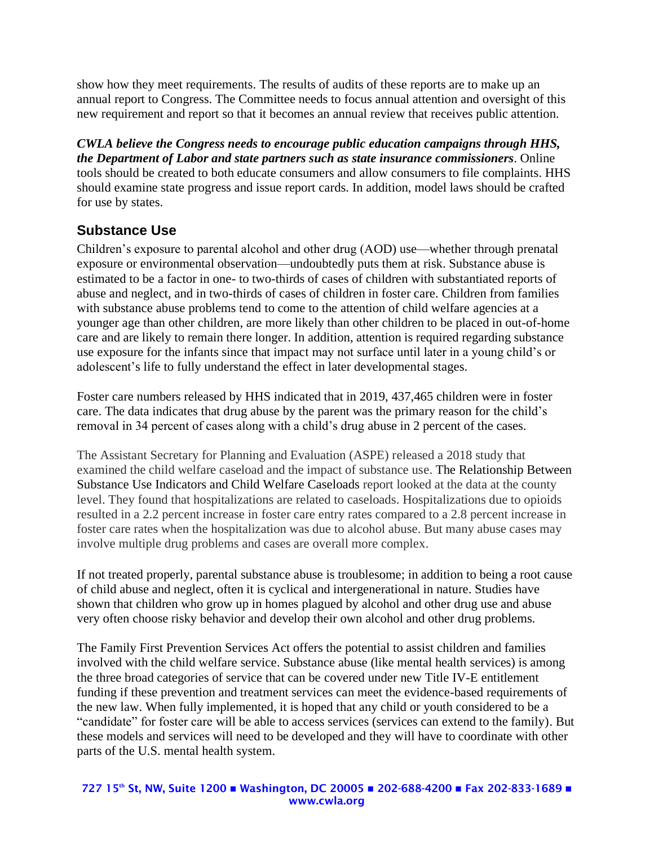show how they meet requirements. The results of audits of these reports are to make up an annual report to Congress. The Committee needs to focus annual attention and oversight of this new requirement and report so that it becomes an annual review that receives public attention.

*CWLA believe the Congress needs to encourage public education campaigns through HHS, the Department of Labor and state partners such as state insurance commissioners*. Online tools should be created to both educate consumers and allow consumers to file complaints. HHS should examine state progress and issue report cards. In addition, model laws should be crafted for use by states.

# **Substance Use**

Children's exposure to parental alcohol and other drug (AOD) use—whether through prenatal exposure or environmental observation—undoubtedly puts them at risk. Substance abuse is estimated to be a factor in one- to two-thirds of cases of children with substantiated reports of abuse and neglect, and in two-thirds of cases of children in foster care. Children from families with substance abuse problems tend to come to the attention of child welfare agencies at a younger age than other children, are more likely than other children to be placed in out-of-home care and are likely to remain there longer. In addition, attention is required regarding substance use exposure for the infants since that impact may not surface until later in a young child's or adolescent's life to fully understand the effect in later developmental stages.

Foster care numbers released by HHS indicated that in 2019, 437,465 children were in foster care. The data indicates that drug abuse by the parent was the primary reason for the child's removal in 34 percent of cases along with a child's drug abuse in 2 percent of the cases.

The Assistant Secretary for Planning and Evaluation (ASPE) released a 2018 study that examined the child welfare caseload and the impact of substance use. The Relationship Between Substance Use Indicators and Child Welfare Caseloads report looked at the data at the county level. They found that hospitalizations are related to caseloads. Hospitalizations due to opioids resulted in a 2.2 percent increase in foster care entry rates compared to a 2.8 percent increase in foster care rates when the hospitalization was due to alcohol abuse. But many abuse cases may involve multiple drug problems and cases are overall more complex.

If not treated properly, parental substance abuse is troublesome; in addition to being a root cause of child abuse and neglect, often it is cyclical and intergenerational in nature. Studies have shown that children who grow up in homes plagued by alcohol and other drug use and abuse very often choose risky behavior and develop their own alcohol and other drug problems.

The Family First Prevention Services Act offers the potential to assist children and families involved with the child welfare service. Substance abuse (like mental health services) is among the three broad categories of service that can be covered under new Title IV-E entitlement funding if these prevention and treatment services can meet the evidence-based requirements of the new law. When fully implemented, it is hoped that any child or youth considered to be a "candidate" for foster care will be able to access services (services can extend to the family). But these models and services will need to be developed and they will have to coordinate with other parts of the U.S. mental health system.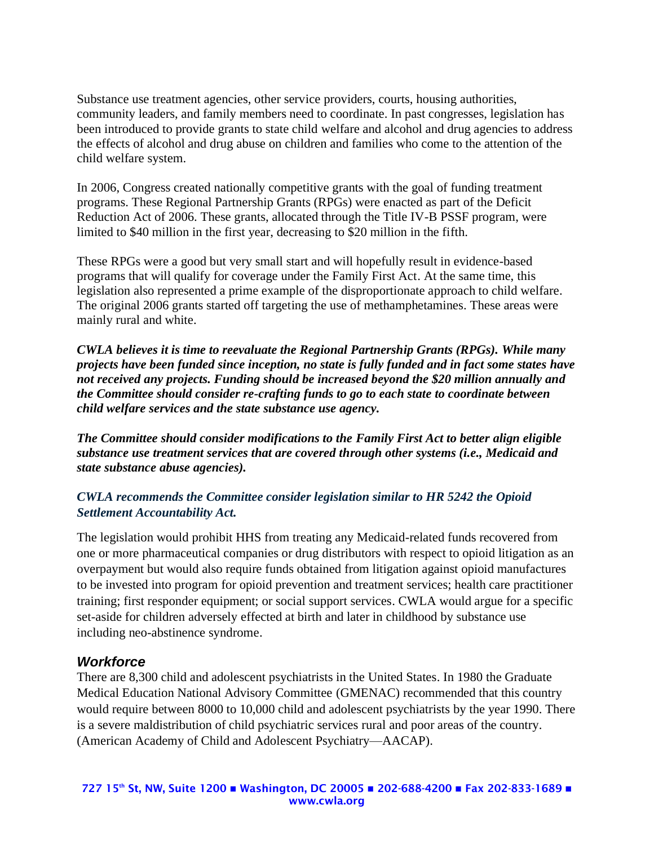Substance use treatment agencies, other service providers, courts, housing authorities, community leaders, and family members need to coordinate. In past congresses, legislation has been introduced to provide grants to state child welfare and alcohol and drug agencies to address the effects of alcohol and drug abuse on children and families who come to the attention of the child welfare system.

In 2006, Congress created nationally competitive grants with the goal of funding treatment programs. These Regional Partnership Grants (RPGs) were enacted as part of the Deficit Reduction Act of 2006. These grants, allocated through the Title IV-B PSSF program, were limited to \$40 million in the first year, decreasing to \$20 million in the fifth.

These RPGs were a good but very small start and will hopefully result in evidence-based programs that will qualify for coverage under the Family First Act. At the same time, this legislation also represented a prime example of the disproportionate approach to child welfare. The original 2006 grants started off targeting the use of methamphetamines. These areas were mainly rural and white.

*CWLA believes it is time to reevaluate the Regional Partnership Grants (RPGs). While many projects have been funded since inception, no state is fully funded and in fact some states have not received any projects. Funding should be increased beyond the \$20 million annually and the Committee should consider re-crafting funds to go to each state to coordinate between child welfare services and the state substance use agency.*

*The Committee should consider modifications to the Family First Act to better align eligible substance use treatment services that are covered through other systems (i.e., Medicaid and state substance abuse agencies).*

## *CWLA recommends the Committee consider legislation similar to HR 5242 the Opioid Settlement Accountability Act.*

The legislation would prohibit HHS from treating any Medicaid-related funds recovered from one or more pharmaceutical companies or drug distributors with respect to opioid litigation as an overpayment but would also require funds obtained from litigation against opioid manufactures to be invested into program for opioid prevention and treatment services; health care practitioner training; first responder equipment; or social support services. CWLA would argue for a specific set-aside for children adversely effected at birth and later in childhood by substance use including neo-abstinence syndrome.

# *Workforce*

There are 8,300 child and adolescent psychiatrists in the United States. In 1980 the Graduate Medical Education National Advisory Committee (GMENAC) recommended that this country would require between 8000 to 10,000 child and adolescent psychiatrists by the year 1990. There is a severe maldistribution of child psychiatric services rural and poor areas of the country. (American Academy of Child and Adolescent Psychiatry—AACAP).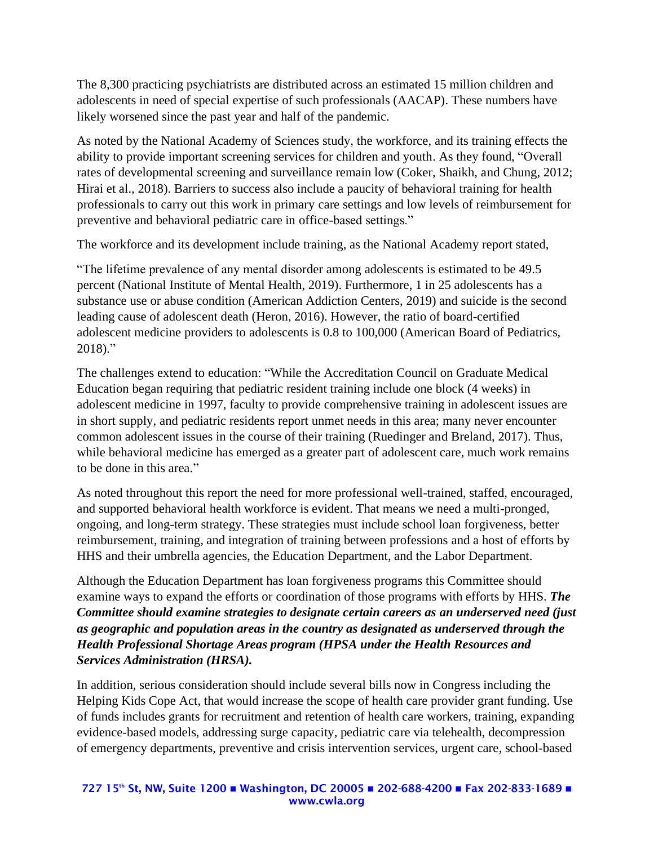The 8,300 practicing psychiatrists are distributed across an estimated 15 million children and adolescents in need of special expertise of such professionals (AACAP). These numbers have likely worsened since the past year and half of the pandemic.

As noted by the National Academy of Sciences study, the workforce, and its training effects the ability to provide important screening services for children and youth. As they found, "Overall rates of developmental screening and surveillance remain low (Coker, Shaikh, and Chung, 2012; Hirai et al., 2018). Barriers to success also include a paucity of behavioral training for health professionals to carry out this work in primary care settings and low levels of reimbursement for preventive and behavioral pediatric care in office-based settings."

The workforce and its development include training, as the National Academy report stated,

"The lifetime prevalence of any mental disorder among adolescents is estimated to be 49.5 percent (National Institute of Mental Health, 2019). Furthermore, 1 in 25 adolescents has a substance use or abuse condition (American Addiction Centers, 2019) and suicide is the second leading cause of adolescent death (Heron, 2016). However, the ratio of board-certified adolescent medicine providers to adolescents is 0.8 to 100,000 (American Board of Pediatrics,  $2018$ ."

The challenges extend to education: "While the Accreditation Council on Graduate Medical Education began requiring that pediatric resident training include one block (4 weeks) in adolescent medicine in 1997, faculty to provide comprehensive training in adolescent issues are in short supply, and pediatric residents report unmet needs in this area; many never encounter common adolescent issues in the course of their training (Ruedinger and Breland, 2017). Thus, while behavioral medicine has emerged as a greater part of adolescent care, much work remains to be done in this area."

As noted throughout this report the need for more professional well-trained, staffed, encouraged, and supported behavioral health workforce is evident. That means we need a multi-pronged, ongoing, and long-term strategy. These strategies must include school loan forgiveness, better reimbursement, training, and integration of training between professions and a host of efforts by HHS and their umbrella agencies, the Education Department, and the Labor Department.

Although the Education Department has loan forgiveness programs this Committee should examine ways to expand the efforts or coordination of those programs with efforts by HHS. *The Committee should examine strategies to designate certain careers as an underserved need (just as geographic and population areas in the country as designated as underserved through the Health Professional Shortage Areas program (HPSA under the Health Resources and Services Administration (HRSA).* 

In addition, serious consideration should include several bills now in Congress including the Helping Kids Cope Act, that would increase the scope of health care provider grant funding. Use of funds includes grants for recruitment and retention of health care workers, training, expanding evidence-based models, addressing surge capacity, pediatric care via telehealth, decompression of emergency departments, preventive and crisis intervention services, urgent care, school-based